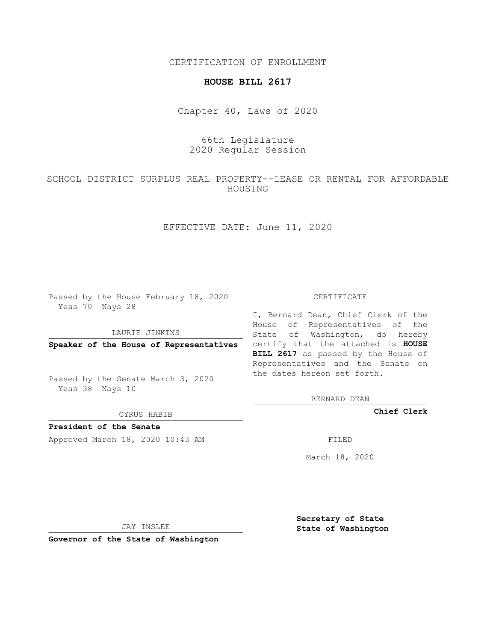CERTIFICATION OF ENROLLMENT

## **HOUSE BILL 2617**

Chapter 40, Laws of 2020

## 66th Legislature 2020 Regular Session

SCHOOL DISTRICT SURPLUS REAL PROPERTY--LEASE OR RENTAL FOR AFFORDABLE HOUSING

EFFECTIVE DATE: June 11, 2020

Passed by the House February 18, 2020 Yeas 70 Nays 28

LAURIE JINKINS

Passed by the Senate March 3, 2020 Yeas 38 Nays 10

CYRUS HABIB

**President of the Senate**

Approved March 18, 2020 10:43 AM FILED

## CERTIFICATE

**Speaker of the House of Representatives** certify that the attached is **HOUSE** I, Bernard Dean, Chief Clerk of the House of Representatives of the State of Washington, do hereby **BILL 2617** as passed by the House of Representatives and the Senate on the dates hereon set forth.

BERNARD DEAN

**Chief Clerk**

March 18, 2020

JAY INSLEE

**Governor of the State of Washington**

**Secretary of State State of Washington**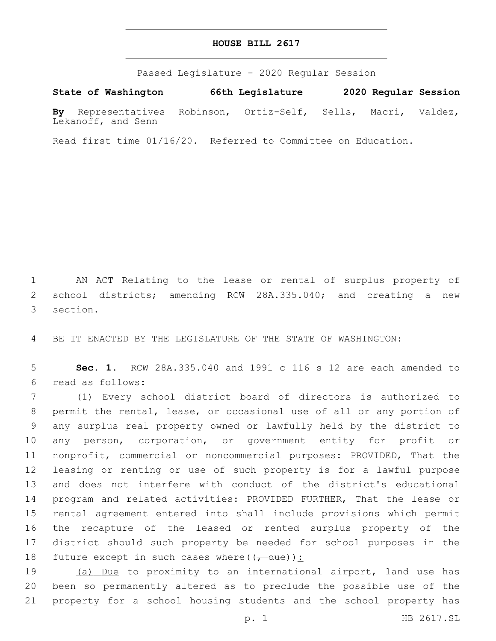## **HOUSE BILL 2617**

Passed Legislature - 2020 Regular Session

**State of Washington 66th Legislature 2020 Regular Session By** Representatives Robinson, Ortiz-Self, Sells, Macri, Valdez, Lekanoff, and Senn

Read first time 01/16/20. Referred to Committee on Education.

 AN ACT Relating to the lease or rental of surplus property of school districts; amending RCW 28A.335.040; and creating a new 3 section.

BE IT ENACTED BY THE LEGISLATURE OF THE STATE OF WASHINGTON:

 **Sec. 1.** RCW 28A.335.040 and 1991 c 116 s 12 are each amended to read as follows:6

 (1) Every school district board of directors is authorized to permit the rental, lease, or occasional use of all or any portion of any surplus real property owned or lawfully held by the district to any person, corporation, or government entity for profit or nonprofit, commercial or noncommercial purposes: PROVIDED, That the leasing or renting or use of such property is for a lawful purpose and does not interfere with conduct of the district's educational program and related activities: PROVIDED FURTHER, That the lease or rental agreement entered into shall include provisions which permit the recapture of the leased or rented surplus property of the district should such property be needed for school purposes in the 18 future except in such cases where( $(\frac{1}{1-\text{due}})$ ):

19 (a) Due to proximity to an international airport, land use has been so permanently altered as to preclude the possible use of the property for a school housing students and the school property has